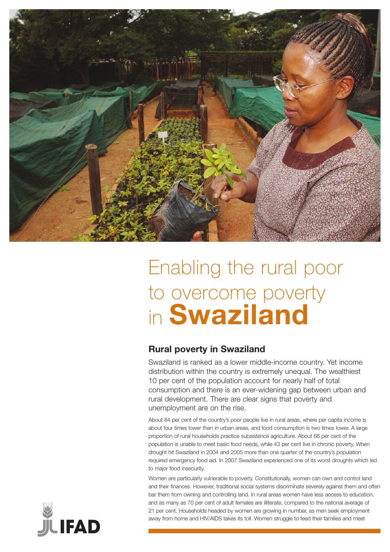

# Enabling the rural poor to overcome poverty in **Swaziland**

## **Rural poverty in Swaziland**

Swaziland is ranked as a lower middle-income country. Yet income distribution within the country is extremely unequal. The wealthiest 10 per cent of the population account for nearly half of total consumption and there is an ever-widening gap between urban and rural development. There are clear signs that poverty and unemployment are on the rise.

About 84 per cent of the country's poor people live in rural areas, where per capita income is about four times lower than in urban areas, and food consumption is two times lower. A large proportion of rural households practice subsistence agriculture. About 66 per cent of the population is unable to meet basic food needs, while 43 per cent live in chronic poverty. When drought hit Swaziland in 2004 and 2005 more than one quarter of the country's population required emergency food aid. In 2007 Swaziland experienced one of its worst droughts which led to major food insecurity.

Women are particularly vulnerable to poverty. Constitutionally, women can own and control land and their finances. However, traditional social systems discriminate severely against them and often bar them from owning and controlling land. In rural areas women have less access to education, and as many as 70 per cent of adult females are illiterate, compared to the national average of 21 per cent. Households headed by women are growing in number, as men seek employment away from home and HIV/AIDS takes its toll. Women struggle to feed their families and meet

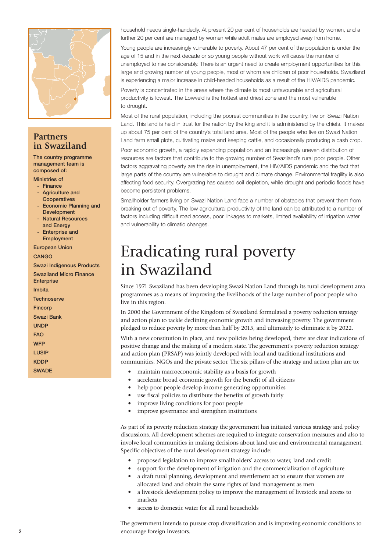

### **Partners in Swaziland**

The country programme management team is composed of:

#### Ministries of

- Finance
- Agriculture and **Cooperatives**
- Economic Planning and Development
- Natural Resources and Energy
- Enterprise and Employment

#### European Union

### CANGO

Swazi Indigenous Products

Swaziland Micro Finance **Enterprise** Imbita

**Technoserve Fincorp** Swazi Bank UNDP FAO **WFP** LUSIP

**KDDP** 

**SWADE** 

household needs single-handedly. At present 20 per cent of households are headed by women, and a further 20 per cent are managed by women while adult males are employed away from home.

Young people are increasingly vulnerable to poverty. About 47 per cent of the population is under the age of 15 and in the next decade or so young people without work will cause the number of unemployed to rise considerably. There is an urgent need to create employment opportunities for this large and growing number of young people, most of whom are children of poor households. Swaziland is experiencing a major increase in child-headed households as a result of the HIV/AIDS pandemic.

Poverty is concentrated in the areas where the climate is most unfavourable and agricultural productivity is lowest. The Lowveld is the hottest and driest zone and the most vulnerable to drought.

Most of the rural population, including the poorest communities in the country, live on Swazi Nation Land. This land is held in trust for the nation by the king and it is administered by the chiefs. It makes up about 75 per cent of the country's total land area. Most of the people who live on Swazi Nation Land farm small plots, cultivating maize and keeping cattle, and occasionally producing a cash crop.

Poor economic growth, a rapidly expanding population and an increasingly uneven distribution of resources are factors that contribute to the growing number of Swaziland's rural poor people. Other factors aggravating poverty are the rise in unemployment, the HIV/AIDS pandemic and the fact that large parts of the country are vulnerable to drought and climate change. Environmental fragility is also affecting food security. Overgrazing has caused soil depletion, while drought and periodic floods have become persistent problems.

Smallholder farmers living on Swazi Nation Land face a number of obstacles that prevent them from breaking out of poverty. The low agricultural productivity of the land can be attributed to a number of factors including difficult road access, poor linkages to markets, limited availability of irrigation water and vulnerability to climatic changes.

## Eradicating rural poverty in Swaziland

Since 1971 Swaziland has been developing Swazi Nation Land through its rural development area programmes as a means of improving the livelihoods of the large number of poor people who live in this region.

In 2000 the Government of the Kingdom of Swaziland formulated a poverty reduction strategy and action plan to tackle declining economic growth and increasing poverty. The government pledged to reduce poverty by more than half by 2015, and ultimately to eliminate it by 2022.

With a new constitution in place, and new policies being developed, there are clear indications of positive change and the making of a modern state. The government's poverty reduction strategy and action plan (PRSAP) was jointly developed with local and traditional institutions and communities, NGOs and the private sector. The six pillars of the strategy and action plan are to:

- maintain macroeconomic stability as a basis for growth
- accelerate broad economic growth for the benefit of all citizens
- help poor people develop income-generating opportunities
- use fiscal policies to distribute the benefits of growth fairly
- improve living conditions for poor people
- improve governance and strengthen institutions

As part of its poverty reduction strategy the government has initiated various strategy and policy discussions. All development schemes are required to integrate conservation measures and also to involve local communities in making decisions about land use and environmental management. Specific objectives of the rural development strategy include:

- proposed legislation to improve smallholders' access to water, land and credit
- support for the development of irrigation and the commercialization of agriculture • a draft rural planning, development and resettlement act to ensure that women are
- allocated land and obtain the same rights of land management as men
- a livestock development policy to improve the management of livestock and access to markets
- access to domestic water for all rural households

The government intends to pursue crop diversification and is improving economic conditions to encourage foreign investors.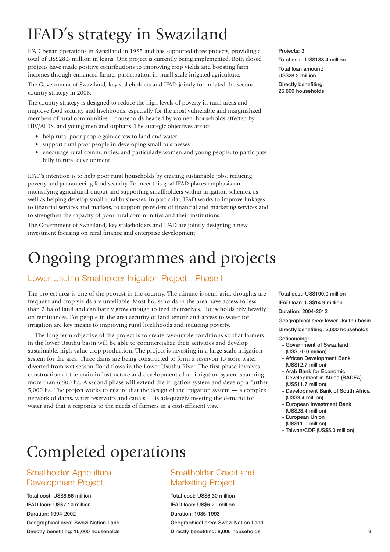# IFAD's strategy in Swaziland

IFAD began operations in Swaziland in 1985 and has supported three projects, providing a total of US\$28.3 million in loans. One project is currently being implemented. Both closed projects have made positive contributions to improving crop yields and boosting farm incomes through enhanced farmer participation in small-scale irrigated agriculture.

The Government of Swaziland, key stakeholders and IFAD jointly formulated the second country strategy in 2006.

The country strategy is designed to reduce the high levels of poverty in rural areas and improve food security and livelihoods, especially for the most vulnerable and marginalized members of rural communities – households headed by women, households affected by HIV/AIDS, and young men and orphans. The strategic objectives are to:

- help rural poor people gain access to land and water
- support rural poor people in developing small businesses
- encourage rural communities, and particularly women and young people, to participate fully in rural development

IFAD's intention is to help poor rural households by creating sustainable jobs, reducing poverty and guaranteeing food security. To meet this goal IFAD places emphasis on intensifying agricultural output and supporting smallholders within irrigation schemes, as well as helping develop small rural businesses. In particular, IFAD works to improve linkages to financial services and markets, to support providers of financial and marketing services and to strengthen the capacity of poor rural communities and their institutions.

The Government of Swaziland, key stakeholders and IFAD are jointly designing a new investment focusing on rural finance and enterprise development.

# Ongoing programmes and projects

### Lower Usuthu Smallholder Irrigation Project - Phase I

The project area is one of the poorest in the country. The climate is semi-arid, droughts are frequent and crop yields are unreliable. Most households in the area have access to less than 2 ha of land and can barely grow enough to feed themselves. Households rely heavily on remittances. For people in the area security of land tenure and access to water for irrigation are key means to improving rural livelihoods and reducing poverty.

The long-term objective of the project is to create favourable conditions so that farmers in the lower Usuthu basin will be able to commercialize their activities and develop sustainable, high-value crop production. The project is investing in a large-scale irrigation system for the area. Three dams are being constructed to form a reservoir to store water diverted from wet season flood flows in the Lower Usuthu River. The first phase involves construction of the main infrastructure and development of an irrigation system spanning more than 6,500 ha. A second phase will extend the irrigation system and develop a further 5,000 ha. The project works to ensure that the design of the irrigation system — a complex network of dams, water reservoirs and canals — is adequately meeting the demand for water and that it responds to the needs of farmers in a cost-efficient way.

Projects: 3

Total cost: US\$133.4 million Total loan amount:

US\$28.3 million Directly benefiting: 26,600 households

Total cost: US\$190.0 million

IFAD loan: US\$14.9 million

Duration: 2004-2012

Geographical area: lower Usuthu basin

Directly benefiting: 2,600 households

- Cofinancing:
	- Government of Swaziland (US\$ 70.0 milion)
	- African Development Bank (US\$12.7 million)
	- Arab Bank for Economic Development in Africa (BADEA) (US\$11.7 million)
- Development Bank of South Africa (US\$9.4 million)
- European Investment Bank (US\$23.4 million)
- European Union
- (US\$11.0 million)
- Taiwan/CDF (US\$5.0 million)

## Completed operations

### Smallholder Agricultural Development Project

Total cost: US\$8.56 million IFAD loan: US\$7.10 million Duration: 1994-2002 Geographical area: Swazi Nation Land Directly benefiting: 16,000 households

## Smallholder Credit and Marketing Project

Total cost: US\$8.30 million IFAD loan: US\$6.20 million Duration: 1985-1993 Geographical area: Swazi Nation Land Directly benefiting: 8,000 households